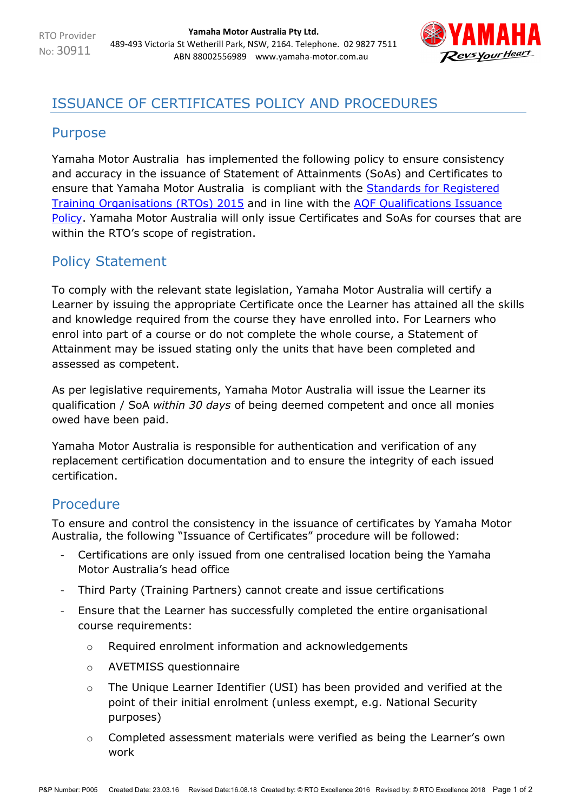

## ISSUANCE OF CERTIFICATES POLICY AND PROCEDURES

## Purpose

Yamaha Motor Australia has implemented the following policy to ensure consistency and accuracy in the issuance of Statement of Attainments (SoAs) and Certificates to ensure that Yamaha Motor Australia is compliant with the **Standards for Registered** [Training Organisations \(RTOs\) 2015](https://www.legislation.gov.au/Details/F2017C00663) and in line with the AQF [Qualifications Issuance](https://www.aqf.edu.au/sites/aqf/files/aqf_issuance_jan2013.pdf)  [Policy.](https://www.aqf.edu.au/sites/aqf/files/aqf_issuance_jan2013.pdf) Yamaha Motor Australia will only issue Certificates and SoAs for courses that are within the RTO's scope of registration.

## Policy Statement

To comply with the relevant state legislation, Yamaha Motor Australia will certify a Learner by issuing the appropriate Certificate once the Learner has attained all the skills and knowledge required from the course they have enrolled into. For Learners who enrol into part of a course or do not complete the whole course, a Statement of Attainment may be issued stating only the units that have been completed and assessed as competent.

As per legislative requirements, Yamaha Motor Australia will issue the Learner its qualification / SoA *within 30 days* of being deemed competent and once all monies owed have been paid.

Yamaha Motor Australia is responsible for authentication and verification of any replacement certification documentation and to ensure the integrity of each issued certification.

## Procedure

To ensure and control the consistency in the issuance of certificates by Yamaha Motor Australia, the following "Issuance of Certificates" procedure will be followed:

- Certifications are only issued from one centralised location being the Yamaha Motor Australia's head office
- Third Party (Training Partners) cannot create and issue certifications
- Ensure that the Learner has successfully completed the entire organisational course requirements:
	- o Required enrolment information and acknowledgements
	- o AVETMISS questionnaire
	- o The Unique Learner Identifier (USI) has been provided and verified at the point of their initial enrolment (unless exempt, e.g. National Security purposes)
	- o Completed assessment materials were verified as being the Learner's own work